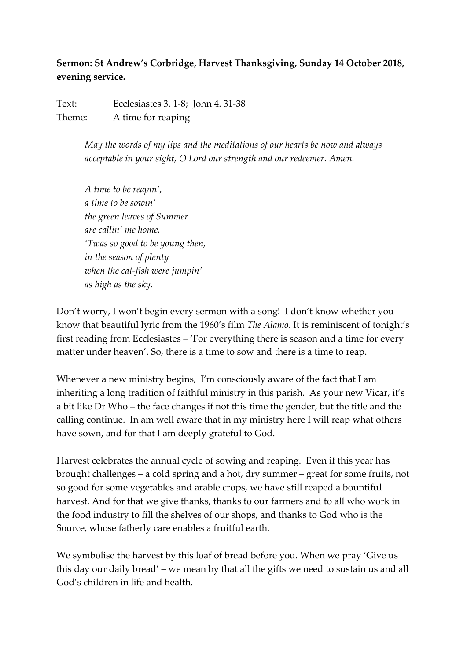## **Sermon: St Andrew's Corbridge, Harvest Thanksgiving, Sunday 14 October 2018, evening service.**

Text: Ecclesiastes 3. 1-8; John 4. 31-38 Theme: A time for reaping

> *May the words of my lips and the meditations of our hearts be now and always acceptable in your sight, O Lord our strength and our redeemer. Amen.*

*A time to be reapin', a time to be sowin' the green leaves of Summer are callin' me home. 'Twas so good to be young then, in the season of plenty when the cat-fish were jumpin' as high as the sky.*

Don't worry, I won't begin every sermon with a song! I don't know whether you know that beautiful lyric from the 1960's film *The Alamo*. It is reminiscent of tonight's first reading from Ecclesiastes – 'For everything there is season and a time for every matter under heaven'. So, there is a time to sow and there is a time to reap.

Whenever a new ministry begins, I'm consciously aware of the fact that I am inheriting a long tradition of faithful ministry in this parish. As your new Vicar, it's a bit like Dr Who – the face changes if not this time the gender, but the title and the calling continue. In am well aware that in my ministry here I will reap what others have sown, and for that I am deeply grateful to God.

Harvest celebrates the annual cycle of sowing and reaping. Even if this year has brought challenges – a cold spring and a hot, dry summer – great for some fruits, not so good for some vegetables and arable crops, we have still reaped a bountiful harvest. And for that we give thanks, thanks to our farmers and to all who work in the food industry to fill the shelves of our shops, and thanks to God who is the Source, whose fatherly care enables a fruitful earth.

We symbolise the harvest by this loaf of bread before you. When we pray 'Give us this day our daily bread' – we mean by that all the gifts we need to sustain us and all God's children in life and health.